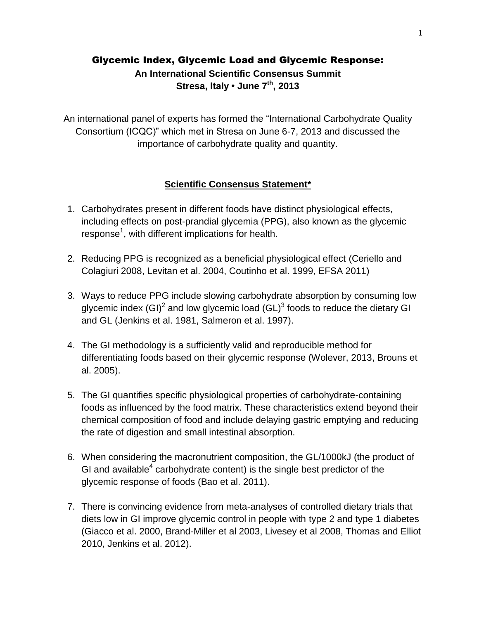# Glycemic Index, Glycemic Load and Glycemic Response: **An International Scientific Consensus Summit Stresa, Italy • June 7th, 2013**

An international panel of experts has formed the "International Carbohydrate Quality Consortium (ICQC)" which met in Stresa on June 6-7, 2013 and discussed the importance of carbohydrate quality and quantity.

## **Scientific Consensus Statement\***

- 1. Carbohydrates present in different foods have distinct physiological effects, including effects on post-prandial glycemia (PPG), also known as the glycemic response<sup>1</sup>, with different implications for health.
- 2. Reducing PPG is recognized as a beneficial physiological effect (Ceriello and Colagiuri 2008, Levitan et al. 2004, Coutinho et al. 1999, EFSA 2011)
- 3. Ways to reduce PPG include slowing carbohydrate absorption by consuming low glycemic index (GI)<sup>2</sup> and low glycemic load (GL)<sup>3</sup> foods to reduce the dietary GI and GL (Jenkins et al. 1981, Salmeron et al. 1997).
- 4. The GI methodology is a sufficiently valid and reproducible method for differentiating foods based on their glycemic response (Wolever, 2013, Brouns et al. 2005).
- 5. The GI quantifies specific physiological properties of carbohydrate-containing foods as influenced by the food matrix. These characteristics extend beyond their chemical composition of food and include delaying gastric emptying and reducing the rate of digestion and small intestinal absorption.
- 6. When considering the macronutrient composition, the GL/1000kJ (the product of GI and available<sup>4</sup> carbohydrate content) is the single best predictor of the glycemic response of foods (Bao et al. 2011).
- 7. There is convincing evidence from meta-analyses of controlled dietary trials that diets low in GI improve glycemic control in people with type 2 and type 1 diabetes (Giacco et al. 2000, Brand-Miller et al 2003, Livesey et al 2008, Thomas and Elliot 2010, Jenkins et al. 2012).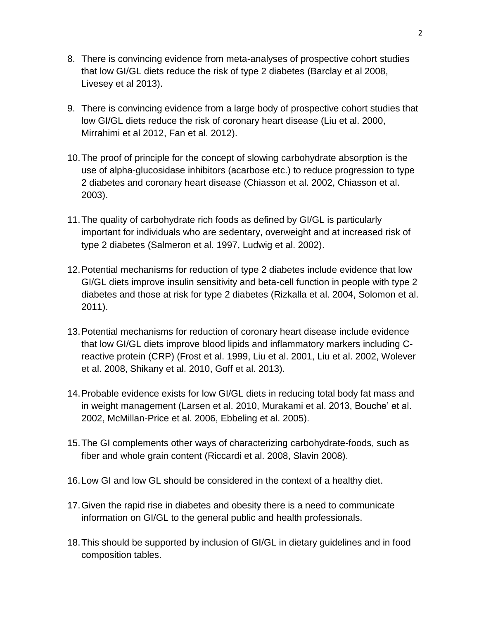- 8. There is convincing evidence from meta-analyses of prospective cohort studies that low GI/GL diets reduce the risk of type 2 diabetes (Barclay et al 2008, Livesey et al 2013).
- 9. There is convincing evidence from a large body of prospective cohort studies that low GI/GL diets reduce the risk of coronary heart disease (Liu et al. 2000, Mirrahimi et al 2012, Fan et al. 2012).
- 10.The proof of principle for the concept of slowing carbohydrate absorption is the use of alpha-glucosidase inhibitors (acarbose etc.) to reduce progression to type 2 diabetes and coronary heart disease (Chiasson et al. 2002, Chiasson et al. 2003).
- 11.The quality of carbohydrate rich foods as defined by GI/GL is particularly important for individuals who are sedentary, overweight and at increased risk of type 2 diabetes (Salmeron et al. 1997, Ludwig et al. 2002).
- 12.Potential mechanisms for reduction of type 2 diabetes include evidence that low GI/GL diets improve insulin sensitivity and beta-cell function in people with type 2 diabetes and those at risk for type 2 diabetes (Rizkalla et al. 2004, Solomon et al. 2011).
- 13.Potential mechanisms for reduction of coronary heart disease include evidence that low GI/GL diets improve blood lipids and inflammatory markers including Creactive protein (CRP) (Frost et al. 1999, Liu et al. 2001, Liu et al. 2002, Wolever et al. 2008, Shikany et al. 2010, Goff et al. 2013).
- 14.Probable evidence exists for low GI/GL diets in reducing total body fat mass and in weight management (Larsen et al. 2010, Murakami et al. 2013, Bouche' et al. 2002, McMillan-Price et al. 2006, Ebbeling et al. 2005).
- 15.The GI complements other ways of characterizing carbohydrate-foods, such as fiber and whole grain content (Riccardi et al. 2008, Slavin 2008).
- 16.Low GI and low GL should be considered in the context of a healthy diet.
- 17.Given the rapid rise in diabetes and obesity there is a need to communicate information on GI/GL to the general public and health professionals.
- 18.This should be supported by inclusion of GI/GL in dietary guidelines and in food composition tables.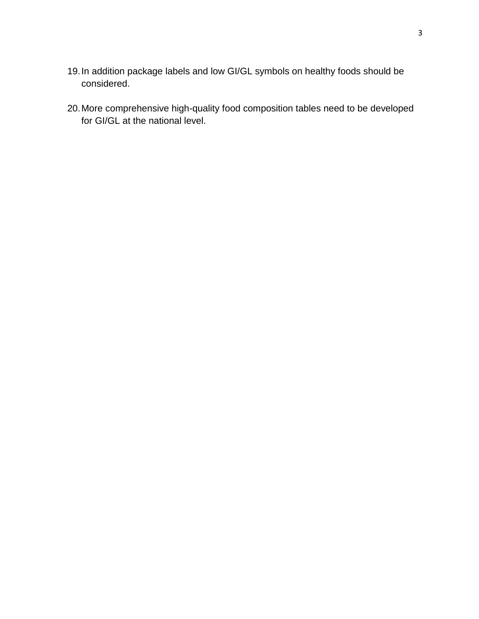- 19.In addition package labels and low GI/GL symbols on healthy foods should be considered.
- 20.More comprehensive high-quality food composition tables need to be developed for GI/GL at the national level.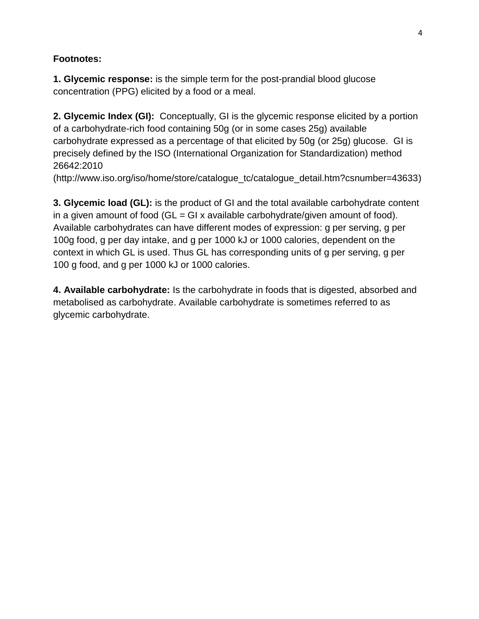# **Footnotes:**

**1. Glycemic response:** is the simple term for the post-prandial blood glucose concentration (PPG) elicited by a food or a meal.

**2. Glycemic Index (GI):** Conceptually, GI is the glycemic response elicited by a portion of a carbohydrate-rich food containing 50g (or in some cases 25g) available carbohydrate expressed as a percentage of that elicited by 50g (or 25g) glucose. GI is precisely defined by the ISO (International Organization for Standardization) method 26642:2010

(http://www.iso.org/iso/home/store/catalogue\_tc/catalogue\_detail.htm?csnumber=43633)

**3. Glycemic load (GL):** is the product of GI and the total available carbohydrate content in a given amount of food  $(GL = GI x$  available carbohydrate/given amount of food). Available carbohydrates can have different modes of expression: g per serving, g per 100g food, g per day intake, and g per 1000 kJ or 1000 calories, dependent on the context in which GL is used. Thus GL has corresponding units of g per serving, g per 100 g food, and g per 1000 kJ or 1000 calories.

**4. Available carbohydrate:** Is the carbohydrate in foods that is digested, absorbed and metabolised as carbohydrate. Available carbohydrate is sometimes referred to as glycemic carbohydrate.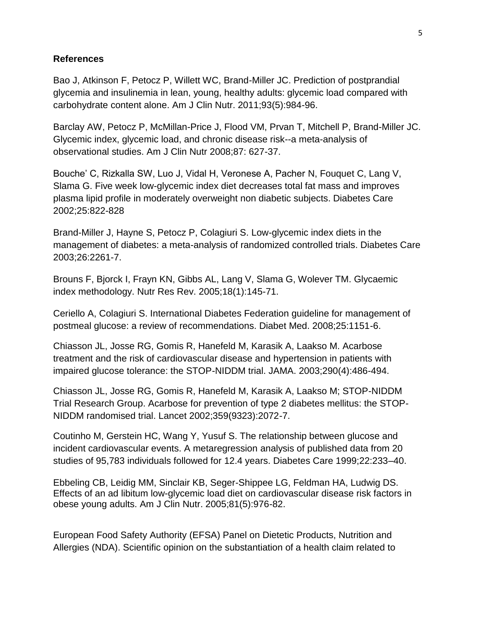## **References**

Bao J, Atkinson F, Petocz P, Willett WC, Brand-Miller JC. Prediction of postprandial glycemia and insulinemia in lean, young, healthy adults: glycemic load compared with carbohydrate content alone. Am J Clin Nutr. 2011;93(5):984-96.

Barclay AW, Petocz P, McMillan-Price J, Flood VM, Prvan T, Mitchell P, Brand-Miller JC. Glycemic index, glycemic load, and chronic disease risk--a meta-analysis of observational studies. Am J Clin Nutr 2008;87: 627-37.

Bouche' C, Rizkalla SW, Luo J, Vidal H, Veronese A, Pacher N, Fouquet C, Lang V, Slama G. Five week low-glycemic index diet decreases total fat mass and improves plasma lipid profile in moderately overweight non diabetic subjects. Diabetes Care 2002;25:822-828

Brand-Miller J, Hayne S, Petocz P, Colagiuri S. Low-glycemic index diets in the management of diabetes: a meta-analysis of randomized controlled trials. Diabetes Care 2003;26:2261-7.

Brouns F, Bjorck I, Frayn KN, Gibbs AL, Lang V, Slama G, Wolever TM. Glycaemic index methodology. Nutr Res Rev. 2005;18(1):145-71.

Ceriello A, Colagiuri S. International Diabetes Federation guideline for management of postmeal glucose: a review of recommendations. Diabet Med. 2008;25:1151-6.

Chiasson JL, Josse RG, Gomis R, Hanefeld M, Karasik A, Laakso M. Acarbose treatment and the risk of cardiovascular disease and hypertension in patients with impaired glucose tolerance: the STOP-NIDDM trial. JAMA. 2003;290(4):486-494.

Chiasson JL, Josse RG, Gomis R, Hanefeld M, Karasik A, Laakso M; STOP-NIDDM Trial Research Group. Acarbose for prevention of type 2 diabetes mellitus: the STOP-NIDDM randomised trial. Lancet 2002;359(9323):2072-7.

Coutinho M, Gerstein HC, Wang Y, Yusuf S. The relationship between glucose and incident cardiovascular events. A metaregression analysis of published data from 20 studies of 95,783 individuals followed for 12.4 years. Diabetes Care 1999;22:233–40.

Ebbeling CB, Leidig MM, Sinclair KB, Seger-Shippee LG, Feldman HA, Ludwig DS. Effects of an ad libitum low-glycemic load diet on cardiovascular disease risk factors in obese young adults. Am J Clin Nutr. 2005;81(5):976-82.

European Food Safety Authority (EFSA) Panel on Dietetic Products, Nutrition and Allergies (NDA). Scientific opinion on the substantiation of a health claim related to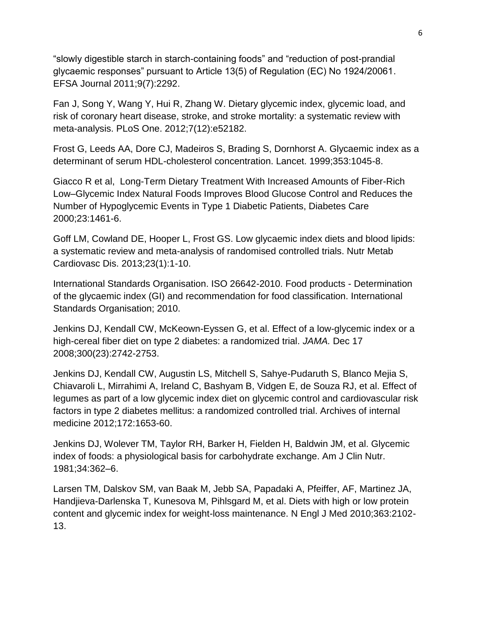"slowly digestible starch in starch-containing foods" and "reduction of post-prandial glycaemic responses" pursuant to Article 13(5) of Regulation (EC) No 1924/20061. EFSA Journal 2011;9(7):2292.

Fan J, Song Y, Wang Y, Hui R, Zhang W. Dietary glycemic index, glycemic load, and risk of coronary heart disease, stroke, and stroke mortality: a systematic review with meta-analysis. PLoS One. 2012;7(12):e52182.

Frost G, Leeds AA, Dore CJ, Madeiros S, Brading S, Dornhorst A. Glycaemic index as a determinant of serum HDL-cholesterol concentration. Lancet. 1999;353:1045-8.

Giacco R et al, Long-Term Dietary Treatment With Increased Amounts of Fiber-Rich Low–Glycemic Index Natural Foods Improves Blood Glucose Control and Reduces the Number of Hypoglycemic Events in Type 1 Diabetic Patients, Diabetes Care 2000;23:1461-6.

Goff LM, Cowland DE, Hooper L, Frost GS. Low glycaemic index diets and blood lipids: a systematic review and meta-analysis of randomised controlled trials. Nutr Metab Cardiovasc Dis. 2013;23(1):1-10.

International Standards Organisation. ISO 26642-2010. Food products - Determination of the glycaemic index (GI) and recommendation for food classification. International Standards Organisation; 2010.

Jenkins DJ, Kendall CW, McKeown-Eyssen G, et al. Effect of a low-glycemic index or a high-cereal fiber diet on type 2 diabetes: a randomized trial. *JAMA.* Dec 17 2008;300(23):2742-2753.

Jenkins DJ, Kendall CW, Augustin LS, Mitchell S, Sahye-Pudaruth S, Blanco Mejia S, Chiavaroli L, Mirrahimi A, Ireland C, Bashyam B, Vidgen E, de Souza RJ, et al. Effect of legumes as part of a low glycemic index diet on glycemic control and cardiovascular risk factors in type 2 diabetes mellitus: a randomized controlled trial. Archives of internal medicine 2012;172:1653-60.

Jenkins DJ, Wolever TM, Taylor RH, Barker H, Fielden H, Baldwin JM, et al. Glycemic index of foods: a physiological basis for carbohydrate exchange. Am J Clin Nutr. 1981;34:362–6.

Larsen TM, Dalskov SM, van Baak M, Jebb SA, Papadaki A, Pfeiffer, AF, Martinez JA, Handjieva-Darlenska T, Kunesova M, Pihlsgard M, et al. Diets with high or low protein content and glycemic index for weight-loss maintenance. N Engl J Med 2010;363:2102- 13.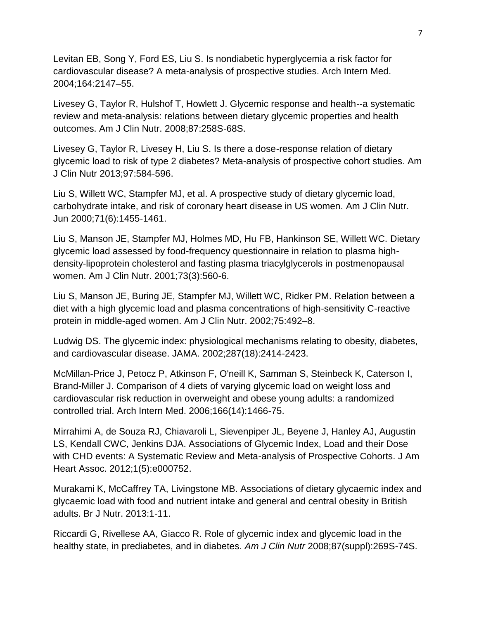Levitan EB, Song Y, Ford ES, Liu S. Is nondiabetic hyperglycemia a risk factor for cardiovascular disease? A meta-analysis of prospective studies. Arch Intern Med. 2004;164:2147–55.

Livesey G, Taylor R, Hulshof T, Howlett J. Glycemic response and health--a systematic review and meta-analysis: relations between dietary glycemic properties and health outcomes. Am J Clin Nutr. 2008;87:258S-68S.

Livesey G, Taylor R, Livesey H, Liu S. Is there a dose-response relation of dietary glycemic load to risk of type 2 diabetes? Meta-analysis of prospective cohort studies. Am J Clin Nutr 2013;97:584-596.

Liu S, Willett WC, Stampfer MJ, et al. A prospective study of dietary glycemic load, carbohydrate intake, and risk of coronary heart disease in US women. Am J Clin Nutr. Jun 2000;71(6):1455-1461.

Liu S, Manson JE, Stampfer MJ, Holmes MD, Hu FB, Hankinson SE, Willett WC. Dietary glycemic load assessed by food-frequency questionnaire in relation to plasma highdensity-lipoprotein cholesterol and fasting plasma triacylglycerols in postmenopausal women. Am J Clin Nutr. 2001;73(3):560-6.

Liu S, Manson JE, Buring JE, Stampfer MJ, Willett WC, Ridker PM. Relation between a diet with a high glycemic load and plasma concentrations of high-sensitivity C-reactive protein in middle-aged women. Am J Clin Nutr. 2002;75:492–8.

Ludwig DS. The glycemic index: physiological mechanisms relating to obesity, diabetes, and cardiovascular disease. JAMA. 2002;287(18):2414-2423.

McMillan-Price J, Petocz P, Atkinson F, O'neill K, Samman S, Steinbeck K, Caterson I, Brand-Miller J. Comparison of 4 diets of varying glycemic load on weight loss and cardiovascular risk reduction in overweight and obese young adults: a randomized controlled trial. Arch Intern Med. 2006;166(14):1466-75.

Mirrahimi A, de Souza RJ, Chiavaroli L, Sievenpiper JL, Beyene J, Hanley AJ, Augustin LS, Kendall CWC, Jenkins DJA. Associations of Glycemic Index, Load and their Dose with CHD events: A Systematic Review and Meta-analysis of Prospective Cohorts. J Am Heart Assoc. 2012;1(5):e000752.

Murakami K, McCaffrey TA, Livingstone MB. Associations of dietary glycaemic index and glycaemic load with food and nutrient intake and general and central obesity in British adults. Br J Nutr. 2013:1-11.

Riccardi G, Rivellese AA, Giacco R. Role of glycemic index and glycemic load in the healthy state, in prediabetes, and in diabetes. *Am J Clin Nutr* 2008;87(suppl):269S-74S.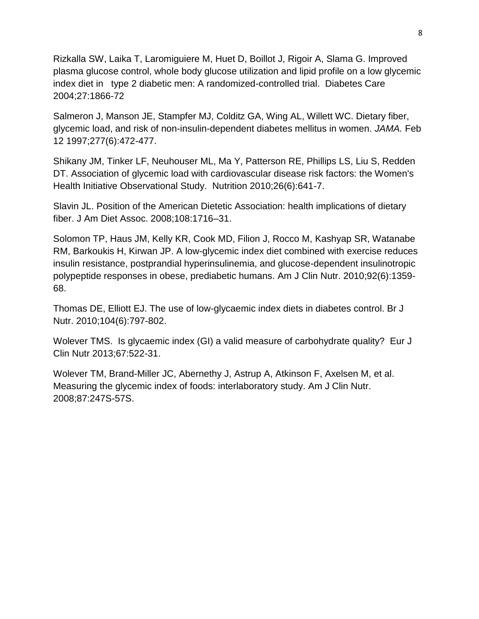Rizkalla SW, Laika T, Laromiguiere M, Huet D, Boillot J, Rigoir A, Slama G. Improved plasma glucose control, whole body glucose utilization and lipid profile on a low glycemic index diet in type 2 diabetic men: A randomized-controlled trial. Diabetes Care 2004;27:1866-72

Salmeron J, Manson JE, Stampfer MJ, Colditz GA, Wing AL, Willett WC. Dietary fiber, glycemic load, and risk of non-insulin-dependent diabetes mellitus in women. *JAMA.* Feb 12 1997;277(6):472-477.

Shikany JM, Tinker LF, Neuhouser ML, Ma Y, Patterson RE, Phillips LS, Liu S, Redden DT. Association of glycemic load with cardiovascular disease risk factors: the Women's Health Initiative Observational Study. Nutrition 2010;26(6):641-7.

Slavin JL. Position of the American Dietetic Association: health implications of dietary fiber. J Am Diet Assoc. 2008;108:1716–31.

Solomon TP, Haus JM, Kelly KR, Cook MD, Filion J, Rocco M, Kashyap SR, Watanabe RM, Barkoukis H, Kirwan JP. A low-glycemic index diet combined with exercise reduces insulin resistance, postprandial hyperinsulinemia, and glucose-dependent insulinotropic polypeptide responses in obese, prediabetic humans. Am J Clin Nutr. 2010;92(6):1359- 68.

Thomas DE, Elliott EJ. The use of low-glycaemic index diets in diabetes control. Br J Nutr. 2010;104(6):797-802.

Wolever TMS. Is glycaemic index (GI) a valid measure of carbohydrate quality? Eur J Clin Nutr 2013;67:522-31.

Wolever TM, Brand-Miller JC, Abernethy J, Astrup A, Atkinson F, Axelsen M, et al. Measuring the glycemic index of foods: interlaboratory study. Am J Clin Nutr. 2008;87:247S-57S.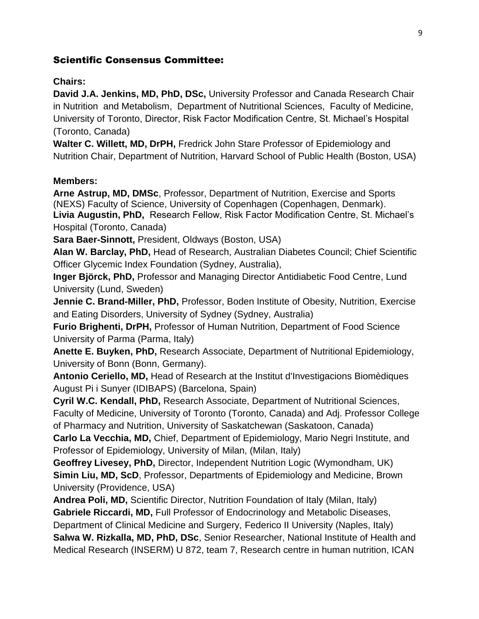# Scientific Consensus Committee:

### **Chairs:**

**David J.A. Jenkins, MD, PhD, DSc,** University Professor and Canada Research Chair in Nutrition and Metabolism, Department of Nutritional Sciences, Faculty of Medicine, University of Toronto, Director, Risk Factor Modification Centre, St. Michael's Hospital (Toronto, Canada)

**Walter C. Willett, MD, DrPH,** Fredrick John Stare Professor of Epidemiology and Nutrition Chair, Department of Nutrition, Harvard School of Public Health (Boston, USA)

### **Members:**

**Arne Astrup, MD, DMSc**, Professor, Department of Nutrition, Exercise and Sports (NEXS) Faculty of Science, University of Copenhagen (Copenhagen, Denmark). **Livia Augustin, PhD,** Research Fellow, Risk Factor Modification Centre, St. Michael's Hospital (Toronto, Canada)

**Sara Baer-Sinnott,** President, Oldways (Boston, USA)

**Alan W. Barclay, PhD,** Head of Research, Australian Diabetes Council; Chief Scientific Officer Glycemic Index Foundation (Sydney, Australia),

**Inger Björck, PhD,** Professor and Managing Director Antidiabetic Food Centre, Lund University (Lund, Sweden)

**Jennie C. Brand-Miller, PhD, Professor, Boden Institute of Obesity, Nutrition, Exercise** and Eating Disorders, University of Sydney (Sydney, Australia)

**Furio Brighenti, DrPH,** Professor of Human Nutrition, Department of Food Science University of Parma (Parma, Italy)

**Anette E. Buyken, PhD,** Research Associate, Department of Nutritional Epidemiology, University of Bonn (Bonn, Germany).

**Antonio Ceriello, MD,** Head of Research at the Institut d'Investigacions Biomèdiques August Pi i Sunyer (IDIBAPS) (Barcelona, Spain)

**Cyril W.C. Kendall, PhD,** Research Associate, Department of Nutritional Sciences, Faculty of Medicine, University of Toronto (Toronto, Canada) and Adj. Professor College of Pharmacy and Nutrition, University of Saskatchewan (Saskatoon, Canada)

**Carlo La Vecchia, MD,** Chief, Department of Epidemiology, Mario Negri Institute, and Professor of Epidemiology, University of Milan, (Milan, Italy)

**Geoffrey Livesey, PhD,** Director, Independent Nutrition Logic (Wymondham, UK) **Simin Liu, MD, ScD**, Professor, Departments of Epidemiology and Medicine, Brown University (Providence, USA)

**Andrea Poli, MD,** Scientific Director, Nutrition Foundation of Italy (Milan, Italy) **Gabriele Riccardi, MD,** Full Professor of Endocrinology and Metabolic Diseases, Department of Clinical Medicine and Surgery, Federico II University (Naples, Italy) **Salwa W. Rizkalla, MD, PhD, DSc**, Senior Researcher, National Institute of Health and Medical Research (INSERM) U 872, team 7, Research centre in human nutrition, ICAN